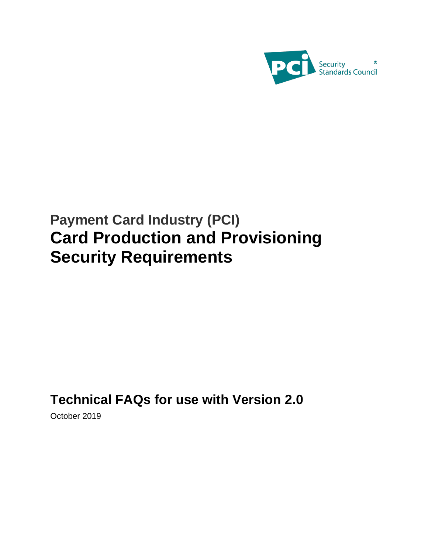

# **Payment Card Industry (PCI) Card Production and Provisioning Security Requirements**

# **Technical FAQs for use with Version 2.0**

October 2019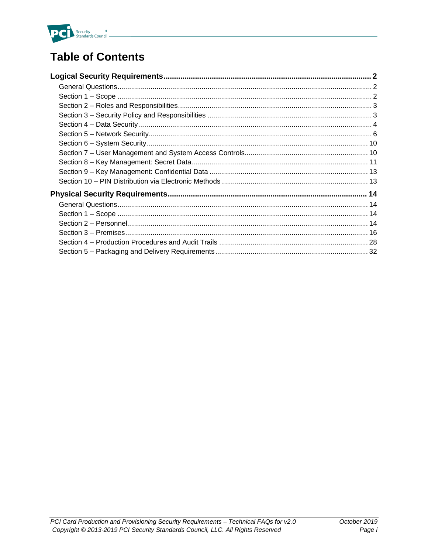

# **Table of Contents**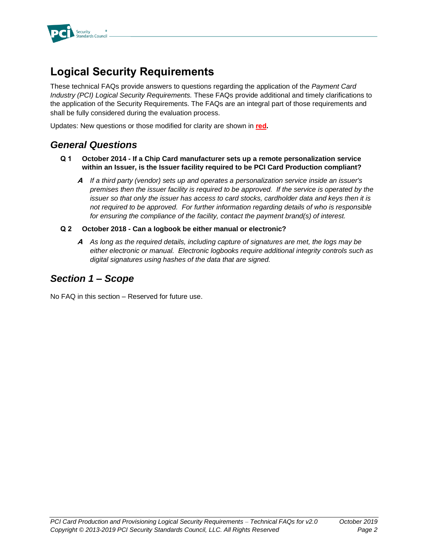

# **Logical Security Requirements**

These technical FAQs provide answers to questions regarding the application of the *Payment Card Industry (PCI) Logical Security Requirements.* These FAQs provide additional and timely clarifications to the application of the Security Requirements. The FAQs are an integral part of those requirements and shall be fully considered during the evaluation process.

Updates: New questions or those modified for clarity are shown in **red.**

# *General Questions*

- **Q 1 October 2014 - If a Chip Card manufacturer sets up a remote personalization service within an Issuer, is the Issuer facility required to be PCI Card Production compliant?**
	- **A** *If a third party (vendor) sets up and operates a personalization service inside an issuer's premises then the issuer facility is required to be approved. If the service is operated by the issuer so that only the issuer has access to card stocks, cardholder data and keys then it is not required to be approved. For further information regarding details of who is responsible for ensuring the compliance of the facility, contact the payment brand(s) of interest.*
- **Q 2 October 2018 - Can a logbook be either manual or electronic?**
	- **A** *As long as the required details, including capture of signatures are met, the logs may be either electronic or manual. Electronic logbooks require additional integrity controls such as digital signatures using hashes of the data that are signed.*

# *Section 1 – Scope*

No FAQ in this section – Reserved for future use.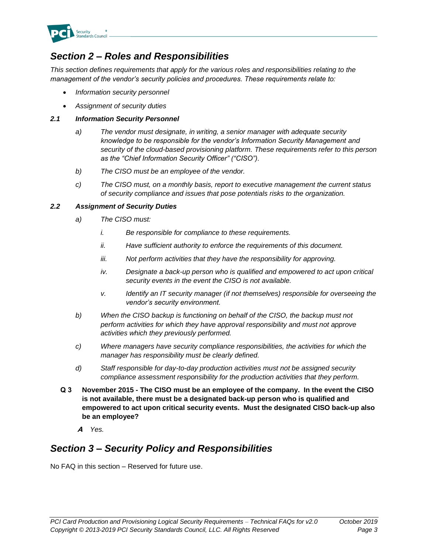

# *Section 2 – Roles and Responsibilities*

*This section defines requirements that apply for the various roles and responsibilities relating to the management of the vendor's security policies and procedures. These requirements relate to:*

- *Information security personnel*
- *Assignment of security duties*

#### *2.1 Information Security Personnel*

- *a) The vendor must designate, in writing, a senior manager with adequate security knowledge to be responsible for the vendor's Information Security Management and security of the cloud-based provisioning platform. These requirements refer to this person as the "Chief Information Security Officer" ("CISO").*
- *b) The CISO must be an employee of the vendor.*
- *c) The CISO must, on a monthly basis, report to executive management the current status of security compliance and issues that pose potentials risks to the organization.*

#### *2.2 Assignment of Security Duties*

- *a) The CISO must:*
	- *i. Be responsible for compliance to these requirements.*
	- *ii. Have sufficient authority to enforce the requirements of this document.*
	- *iii. Not perform activities that they have the responsibility for approving.*
	- *iv. Designate a back-up person who is qualified and empowered to act upon critical security events in the event the CISO is not available.*
	- *v. Identify an IT security manager (if not themselves) responsible for overseeing the vendor's security environment.*
- *b) When the CISO backup is functioning on behalf of the CISO, the backup must not perform activities for which they have approval responsibility and must not approve activities which they previously performed.*
- *c) Where managers have security compliance responsibilities, the activities for which the manager has responsibility must be clearly defined.*
- *d) Staff responsible for day-to-day production activities must not be assigned security compliance assessment responsibility for the production activities that they perform.*
- **Q 3 November 2015 - The CISO must be an employee of the company. In the event the CISO is not available, there must be a designated back-up person who is qualified and empowered to act upon critical security events. Must the designated CISO back-up also be an employee?**
	- **A** *Yes.*

# *Section 3 – Security Policy and Responsibilities*

No FAQ in this section – Reserved for future use.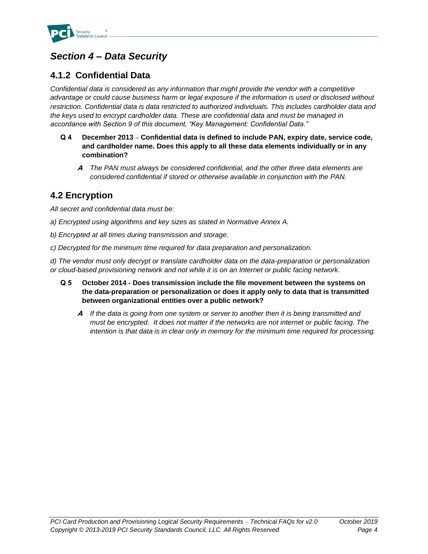

# *Section 4 – Data Security*

# **4.1.2 Confidential Data**

*Confidential data is considered as any information that might provide the vendor with a competitive advantage or could cause business harm or legal exposure if the information is used or disclosed without restriction. Confidential data is data restricted to authorized individuals. This includes cardholder data and the keys used to encrypt cardholder data. These are confidential data and must be managed in accordance with Section 9 of this document, "Key Management: Confidential Data."*

- **Q 4 December 2013 – Confidential data is defined to include PAN, expiry date, service code, and cardholder name. Does this apply to all these data elements individually or in any combination?**
	- **A** *The PAN must always be considered confidential, and the other three data elements are considered confidential if stored or otherwise available in conjunction with the PAN.*

# **4.2 Encryption**

*All secret and confidential data must be:* 

- *a) Encrypted using algorithms and key sizes as stated in Normative Annex A.*
- *b) Encrypted at all times during transmission and storage.*
- *c) Decrypted for the minimum time required for data preparation and personalization.*

*d) The vendor must only decrypt or translate cardholder data on the data-preparation or personalization or cloud-based provisioning network and not while it is on an Internet or public facing network.* 

- **Q 5 October 2014 - Does transmission include the file movement between the systems on the data-preparation or personalization or does it apply only to data that is transmitted between organizational entities over a public network?**
	- **A** *If the data is going from one system or server to another then it is being transmitted and must be encrypted. It does not matter if the networks are not internet or public facing. The intention is that data is in clear only in memory for the minimum time required for processing.*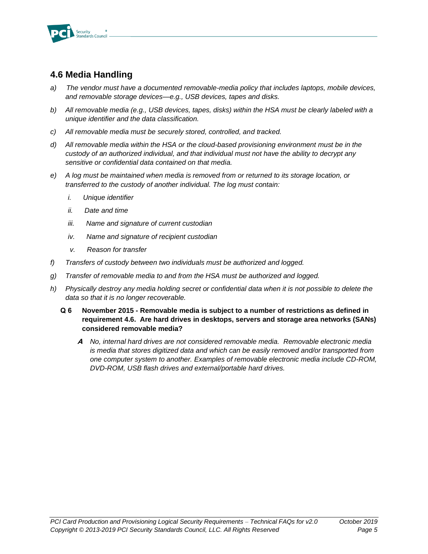

# **4.6 Media Handling**

- *a) The vendor must have a documented removable-media policy that includes laptops, mobile devices, and removable storage devices—e.g., USB devices, tapes and disks.*
- *b) All removable media (e.g., USB devices, tapes, disks) within the HSA must be clearly labeled with a unique identifier and the data classification.*
- *c) All removable media must be securely stored, controlled, and tracked.*
- *d) All removable media within the HSA or the cloud-based provisioning environment must be in the custody of an authorized individual, and that individual must not have the ability to decrypt any sensitive or confidential data contained on that media.*
- *e) A log must be maintained when media is removed from or returned to its storage location, or transferred to the custody of another individual. The log must contain:*
	- *i. Unique identifier*
	- *ii. Date and time*
	- *iii. Name and signature of current custodian*
	- *iv. Name and signature of recipient custodian*
	- *v. Reason for transfer*
- *f) Transfers of custody between two individuals must be authorized and logged.*
- *g) Transfer of removable media to and from the HSA must be authorized and logged.*
- *h) Physically destroy any media holding secret or confidential data when it is not possible to delete the data so that it is no longer recoverable.*
	- **Q 6 November 2015 - Removable media is subject to a number of restrictions as defined in requirement 4.6. Are hard drives in desktops, servers and storage area networks (SANs) considered removable media?**
		- **A** *No, internal hard drives are not considered removable media. Removable electronic media is media that stores digitized data and which can be easily removed and/or transported from one computer system to another. Examples of removable electronic media include CD-ROM, DVD-ROM, USB flash drives and external/portable hard drives.*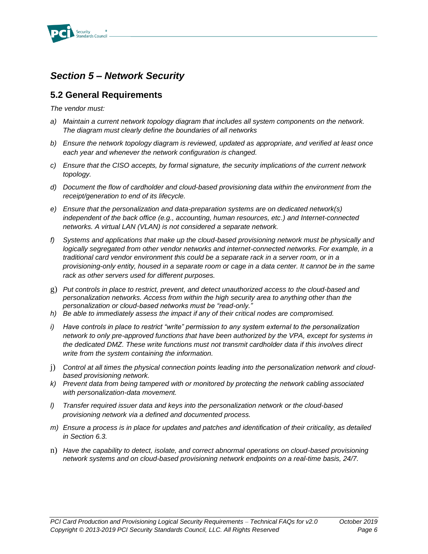

# *Section 5 – Network Security*

### **5.2 General Requirements**

*The vendor must:*

- *a) Maintain a current network topology diagram that includes all system components on the network. The diagram must clearly define the boundaries of all networks*
- *b) Ensure the network topology diagram is reviewed, updated as appropriate, and verified at least once each year and whenever the network configuration is changed.*
- *c) Ensure that the CISO accepts, by formal signature, the security implications of the current network topology.*
- *d) Document the flow of cardholder and cloud-based provisioning data within the environment from the receipt/generation to end of its lifecycle.*
- *e) Ensure that the personalization and data-preparation systems are on dedicated network(s) independent of the back office (e.g., accounting, human resources, etc.) and Internet-connected networks. A virtual LAN (VLAN) is not considered a separate network.*
- *f) Systems and applications that make up the cloud-based provisioning network must be physically and logically segregated from other vendor networks and internet-connected networks. For example, in a traditional card vendor environment this could be a separate rack in a server room, or in a provisioning-only entity, housed in a separate room or cage in a data center. It cannot be in the same rack as other servers used for different purposes.*
- g) *Put controls in place to restrict, prevent, and detect unauthorized access to the cloud-based and personalization networks. Access from within the high security area to anything other than the personalization or cloud-based networks must be "read-only."*
- *h) Be able to immediately assess the impact if any of their critical nodes are compromised.*
- *i) Have controls in place to restrict "write" permission to any system external to the personalization network to only pre-approved functions that have been authorized by the VPA, except for systems in the dedicated DMZ. These write functions must not transmit cardholder data if this involves direct write from the system containing the information.*
- j) *Control at all times the physical connection points leading into the personalization network and cloudbased provisioning network.*
- *k) Prevent data from being tampered with or monitored by protecting the network cabling associated with personalization-data movement.*
- *l) Transfer required issuer data and keys into the personalization network or the cloud-based provisioning network via a defined and documented process.*
- *m) Ensure a process is in place for updates and patches and identification of their criticality, as detailed in Section 6.3.*
- n) *Have the capability to detect, isolate, and correct abnormal operations on cloud-based provisioning network systems and on cloud-based provisioning network endpoints on a real-time basis, 24/7.*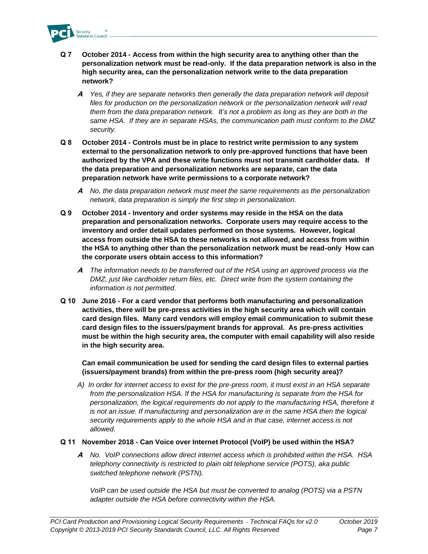

- **Q 7 October 2014 - Access from within the high security area to anything other than the personalization network must be read-only. If the data preparation network is also in the high security area, can the personalization network write to the data preparation network?** 
	- **A** *Yes, if they are separate networks then generally the data preparation network will deposit files for production on the personalization network or the personalization network will read them from the data preparation network. It's not a problem as long as they are both in the same HSA. If they are in separate HSAs, the communication path must conform to the DMZ security.*
- **Q 8 October 2014 - Controls must be in place to restrict write permission to any system external to the personalization network to only pre-approved functions that have been authorized by the VPA and these write functions must not transmit cardholder data. If the data preparation and personalization networks are separate, can the data preparation network have write permissions to a corporate network?** 
	- **A** *No, the data preparation network must meet the same requirements as the personalization network, data preparation is simply the first step in personalization.*
- **Q 9 October 2014 - Inventory and order systems may reside in the HSA on the data preparation and personalization networks. Corporate users may require access to the inventory and order detail updates performed on those systems. However, logical access from outside the HSA to these networks is not allowed, and access from within the HSA to anything other than the personalization network must be read-only How can the corporate users obtain access to this information?** 
	- **A** *The information needs to be transferred out of the HSA using an approved process via the DMZ, just like cardholder return files, etc. Direct write from the system containing the information is not permitted.*
- **Q 10 June 2016 - For a card vendor that performs both manufacturing and personalization activities, there will be pre-press activities in the high security area which will contain card design files. Many card vendors will employ email communication to submit these card design files to the issuers/payment brands for approval. As pre-press activities must be within the high security area, the computer with email capability will also reside in the high security area.**

**Can email communication be used for sending the card design files to external parties (issuers/payment brands) from within the pre-press room (high security area)?**

*A) In order for internet access to exist for the pre-press room, it must exist in an HSA separate from the personalization HSA. If the HSA for manufacturing is separate from the HSA for personalization, the logical requirements do not apply to the manufacturing HSA, therefore it is not an issue. If manufacturing and personalization are in the same HSA then the logical security requirements apply to the whole HSA and in that case, internet access is not allowed.* 

#### **Q 11 November 2018 - Can Voice over Internet Protocol (VoIP) be used within the HSA?**

**A** *No. VoIP connections allow direct internet access which is prohibited within the HSA. HSA telephony connectivity is restricted to plain old telephone service (POTS), aka public switched telephone network (PSTN).* 

*VoIP can be used outside the HSA but must be converted to analog (POTS) via a PSTN adapter outside the HSA before connectivity within the HSA.*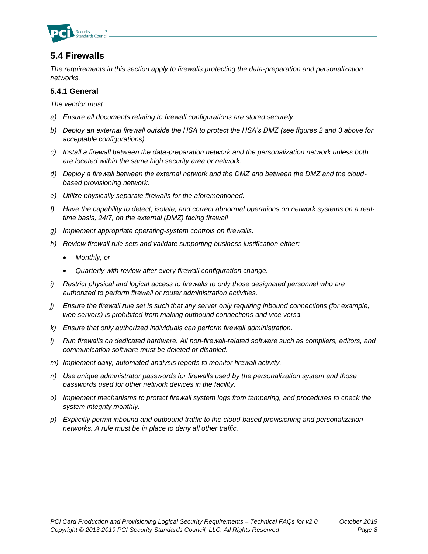

# **5.4 Firewalls**

*The requirements in this section apply to firewalls protecting the data-preparation and personalization networks.*

#### **5.4.1 General**

*The vendor must:*

- *a) Ensure all documents relating to firewall configurations are stored securely.*
- *b) Deploy an external firewall outside the HSA to protect the HSA's DMZ (see figures 2 and 3 above for acceptable configurations).*
- *c) Install a firewall between the data-preparation network and the personalization network unless both are located within the same high security area or network.*
- *d) Deploy a firewall between the external network and the DMZ and between the DMZ and the cloudbased provisioning network.*
- *e) Utilize physically separate firewalls for the aforementioned.*
- *f) Have the capability to detect, isolate, and correct abnormal operations on network systems on a realtime basis, 24/7, on the external (DMZ) facing firewall*
- *g) Implement appropriate operating-system controls on firewalls.*
- *h) Review firewall rule sets and validate supporting business justification either:*
	- *Monthly, or*
	- *Quarterly with review after every firewall configuration change.*
- *i) Restrict physical and logical access to firewalls to only those designated personnel who are authorized to perform firewall or router administration activities.*
- *j) Ensure the firewall rule set is such that any server only requiring inbound connections (for example, web servers) is prohibited from making outbound connections and vice versa.*
- *k) Ensure that only authorized individuals can perform firewall administration.*
- *l) Run firewalls on dedicated hardware. All non-firewall-related software such as compilers, editors, and communication software must be deleted or disabled.*
- *m) Implement daily, automated analysis reports to monitor firewall activity.*
- *n) Use unique administrator passwords for firewalls used by the personalization system and those passwords used for other network devices in the facility.*
- *o) Implement mechanisms to protect firewall system logs from tampering, and procedures to check the system integrity monthly.*
- *p) Explicitly permit inbound and outbound traffic to the cloud-based provisioning and personalization networks. A rule must be in place to deny all other traffic.*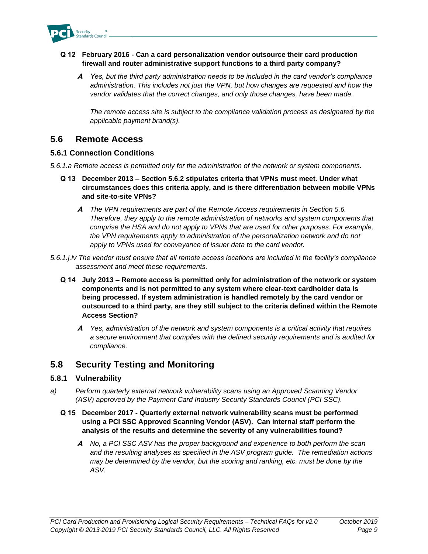

#### **Q 12 February 2016 - Can a card personalization vendor outsource their card production firewall and router administrative support functions to a third party company?**

**A** *Yes, but the third party administration needs to be included in the card vendor's compliance administration. This includes not just the VPN, but how changes are requested and how the vendor validates that the correct changes, and only those changes, have been made.*

*The remote access site is subject to the compliance validation process as designated by the applicable payment brand(s).*

### **5.6 Remote Access**

#### **5.6.1 Connection Conditions**

*5.6.1.a Remote access is permitted only for the administration of the network or system components.* 

- **Q 13 December 2013 – Section 5.6.2 stipulates criteria that VPNs must meet. Under what circumstances does this criteria apply, and is there differentiation between mobile VPNs and site-to-site VPNs?**
	- **A** *The VPN requirements are part of the Remote Access requirements in Section 5.6. Therefore, they apply to the remote administration of networks and system components that comprise the HSA and do not apply to VPNs that are used for other purposes. For example, the VPN requirements apply to administration of the personalization network and do not apply to VPNs used for conveyance of issuer data to the card vendor.*
- *5.6.1.j.iv The vendor must ensure that all remote access locations are included in the facility's compliance assessment and meet these requirements.*
	- **Q 14 July 2013 – Remote access is permitted only for administration of the network or system components and is not permitted to any system where clear-text cardholder data is being processed. If system administration is handled remotely by the card vendor or outsourced to a third party, are they still subject to the criteria defined within the Remote Access Section?**
		- **A** *Yes, administration of the network and system components is a critical activity that requires a secure environment that complies with the defined security requirements and is audited for compliance.*

# **5.8 Security Testing and Monitoring**

#### **5.8.1 Vulnerability**

*a) Perform quarterly external network vulnerability scans using an Approved Scanning Vendor (ASV) approved by the Payment Card Industry Security Standards Council (PCI SSC).*

#### **Q 15 December 2017 - Quarterly external network vulnerability scans must be performed using a PCI SSC Approved Scanning Vendor (ASV). Can internal staff perform the analysis of the results and determine the severity of any vulnerabilities found?**

**A** *No, a PCI SSC ASV has the proper background and experience to both perform the scan and the resulting analyses as specified in the ASV program guide. The remediation actions may be determined by the vendor, but the scoring and ranking, etc. must be done by the ASV.*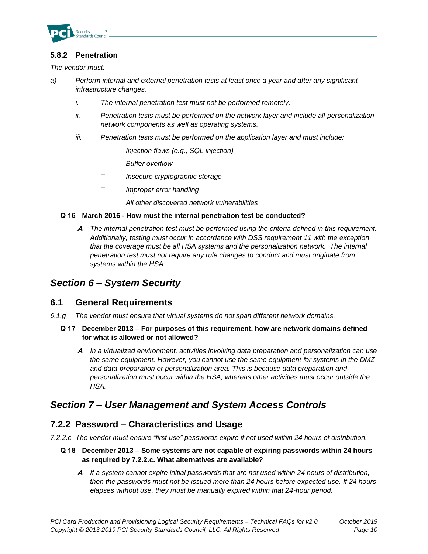

#### **5.8.2 Penetration**

*The vendor must:*

- *a) Perform internal and external penetration tests at least once a year and after any significant infrastructure changes.*
	- *i. The internal penetration test must not be performed remotely.*
	- *ii. Penetration tests must be performed on the network layer and include all personalization network components as well as operating systems.*
	- *iii. Penetration tests must be performed on the application layer and must include:*
		- $\Box$ *Injection flaws (e.g., SQL injection)*
		- $\Box$ *Buffer overflow*
		- $\Box$ *Insecure cryptographic storage*
		- $\Box$ *Improper error handling*
		- $\Box$ *All other discovered network vulnerabilities*

#### **Q 16 March 2016 - How must the internal penetration test be conducted?**

**A** *The internal penetration test must be performed using the criteria defined in this requirement. Additionally, testing must occur in accordance with DSS requirement 11 with the exception that the coverage must be all HSA systems and the personalization network. The internal penetration test must not require any rule changes to conduct and must originate from systems within the HSA.*

# *Section 6 – System Security*

#### **6.1 General Requirements**

- *6.1.g The vendor must ensure that virtual systems do not span different network domains.*
	- **Q 17 December 2013 – For purposes of this requirement, how are network domains defined for what is allowed or not allowed?**
		- **A** *In a virtualized environment, activities involving data preparation and personalization can use the same equipment. However, you cannot use the same equipment for systems in the DMZ and data-preparation or personalization area. This is because data preparation and personalization must occur within the HSA, whereas other activities must occur outside the HSA.*

# *Section 7 – User Management and System Access Controls*

### **7.2.2 Password – Characteristics and Usage**

*7.2.2.c The vendor must ensure "first use" passwords expire if not used within 24 hours of distribution.*

- **Q 18 December 2013 – Some systems are not capable of expiring passwords within 24 hours as required by 7.2.2.c. What alternatives are available?**
	- **A** *If a system cannot expire initial passwords that are not used within 24 hours of distribution, then the passwords must not be issued more than 24 hours before expected use. If 24 hours elapses without use, they must be manually expired within that 24-hour period.*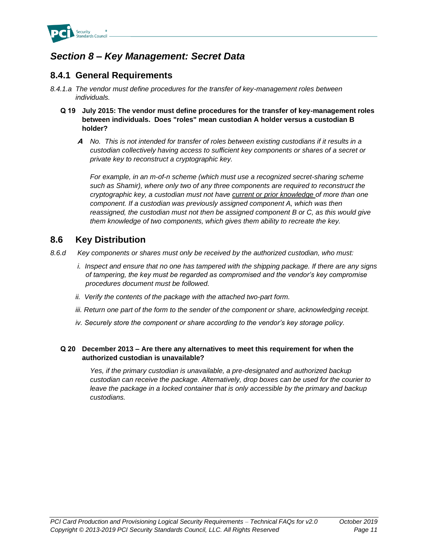

# *Section 8 – Key Management: Secret Data*

# **8.4.1 General Requirements**

- *8.4.1.a The vendor must define procedures for the transfer of key-management roles between individuals.*
	- **Q 19 July 2015: The vendor must define procedures for the transfer of key-management roles between individuals. Does "roles" mean custodian A holder versus a custodian B holder?** 
		- **A** *No. This is not intended for transfer of roles between existing custodians if it results in a custodian collectively having access to sufficient key components or shares of a secret or private key to reconstruct a cryptographic key.*

*For example, in an m-of-n scheme (which must use a recognized secret-sharing scheme such as Shamir), where only two of any three components are required to reconstruct the cryptographic key, a custodian must not have current or prior knowledge of more than one component. If a custodian was previously assigned component A, which was then reassigned, the custodian must not then be assigned component B or C, as this would give them knowledge of two components, which gives them ability to recreate the key.*

### **8.6 Key Distribution**

- *8.6.d Key components or shares must only be received by the authorized custodian, who must:*
	- *i. Inspect and ensure that no one has tampered with the shipping package. If there are any signs of tampering, the key must be regarded as compromised and the vendor's key compromise procedures document must be followed.*
	- *ii. Verify the contents of the package with the attached two-part form.*
	- *iii. Return one part of the form to the sender of the component or share, acknowledging receipt.*
	- *iv. Securely store the component or share according to the vendor's key storage policy.*

#### **Q 20 December 2013 – Are there any alternatives to meet this requirement for when the authorized custodian is unavailable?**

*Yes, if the primary custodian is unavailable, a pre-designated and authorized backup custodian can receive the package. Alternatively, drop boxes can be used for the courier to leave the package in a locked container that is only accessible by the primary and backup custodians.*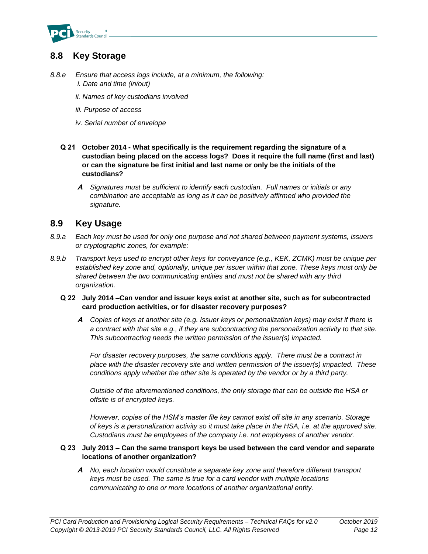

# **8.8 Key Storage**

- *8.8.e Ensure that access logs include, at a minimum, the following: i. Date and time (in/out)* 
	- *ii. Names of key custodians involved*
	- *iii. Purpose of access*
	- *iv. Serial number of envelope*
	- **Q 21 October 2014 - What specifically is the requirement regarding the signature of a custodian being placed on the access logs? Does it require the full name (first and last) or can the signature be first initial and last name or only be the initials of the custodians?**
		- **A** *Signatures must be sufficient to identify each custodian. Full names or initials or any combination are acceptable as long as it can be positively affirmed who provided the signature.*

### **8.9 Key Usage**

- *8.9.a Each key must be used for only one purpose and not shared between payment systems, issuers or cryptographic zones, for example:*
- *8.9.b Transport keys used to encrypt other keys for conveyance (e.g., KEK, ZCMK) must be unique per established key zone and, optionally, unique per issuer within that zone. These keys must only be shared between the two communicating entities and must not be shared with any third organization.*

#### **Q 22 July 2014 –Can vendor and issuer keys exist at another site, such as for subcontracted card production activities, or for disaster recovery purposes?**

**A** *Copies of keys at another site (e.g. Issuer keys or personalization keys) may exist if there is a contract with that site e.g., if they are subcontracting the personalization activity to that site. This subcontracting needs the written permission of the issuer(s) impacted.* 

*For disaster recovery purposes, the same conditions apply. There must be a contract in place with the disaster recovery site and written permission of the issuer(s) impacted. These conditions apply whether the other site is operated by the vendor or by a third party.* 

*Outside of the aforementioned conditions, the only storage that can be outside the HSA or offsite is of encrypted keys.*

*However, copies of the HSM's master file key cannot exist off site in any scenario. Storage of keys is a personalization activity so it must take place in the HSA, i.e. at the approved site. Custodians must be employees of the company i.e. not employees of another vendor.* 

#### **Q 23 July 2013 – Can the same transport keys be used between the card vendor and separate locations of another organization?**

**A** *No, each location would constitute a separate key zone and therefore different transport keys must be used. The same is true for a card vendor with multiple locations communicating to one or more locations of another organizational entity.*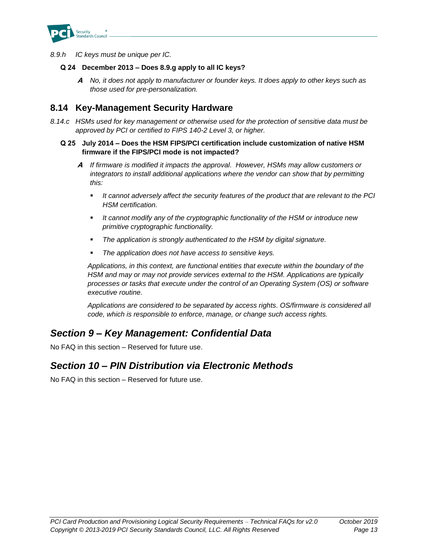

*8.9.h IC keys must be unique per IC.*

#### **Q 24 December 2013 – Does 8.9.g apply to all IC keys?**

**A** *No, it does not apply to manufacturer or founder keys. It does apply to other keys such as those used for pre-personalization.*

### **8.14 Key-Management Security Hardware**

*8.14.c HSMs used for key management or otherwise used for the protection of sensitive data must be approved by PCI or certified to FIPS 140-2 Level 3, or higher.*

#### **Q 25 July 2014 – Does the HSM FIPS/PCI certification include customization of native HSM firmware if the FIPS/PCI mode is not impacted?**

- **A** *If firmware is modified it impacts the approval. However, HSMs may allow customers or integrators to install additional applications where the vendor can show that by permitting this:*
	- *It cannot adversely affect the security features of the product that are relevant to the PCI HSM certification.*
	- It cannot modify any of the cryptographic functionality of the HSM or introduce new *primitive cryptographic functionality.*
	- The application is strongly authenticated to the HSM by digital signature.
	- The application does not have access to sensitive keys.

*Applications, in this context, are functional entities that execute within the boundary of the HSM and may or may not provide services external to the HSM. Applications are typically processes or tasks that execute under the control of an Operating System (OS) or software executive routine.* 

*Applications are considered to be separated by access rights. OS/firmware is considered all code, which is responsible to enforce, manage, or change such access rights.*

# *Section 9 – Key Management: Confidential Data*

No FAQ in this section – Reserved for future use.

# *Section 10 – PIN Distribution via Electronic Methods*

No FAQ in this section – Reserved for future use.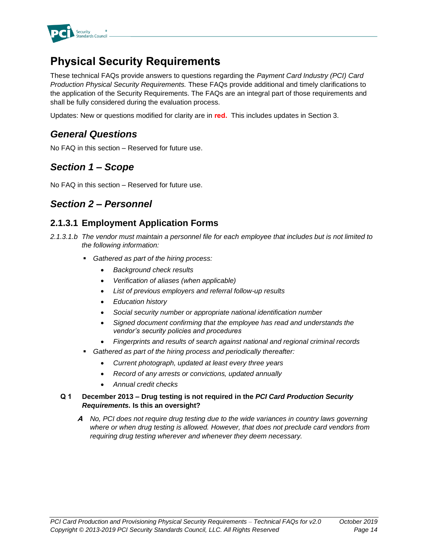

# **Physical Security Requirements**

These technical FAQs provide answers to questions regarding the *Payment Card Industry (PCI) Card Production Physical Security Requirements.* These FAQs provide additional and timely clarifications to the application of the Security Requirements. The FAQs are an integral part of those requirements and shall be fully considered during the evaluation process.

Updates: New or questions modified for clarity are in **red.** This includes updates in Section 3.

# *General Questions*

No FAQ in this section – Reserved for future use.

# *Section 1 – Scope*

No FAQ in this section – Reserved for future use.

# *Section 2 – Personnel*

# **2.1.3.1 Employment Application Forms**

- *2.1.3.1.b The vendor must maintain a personnel file for each employee that includes but is not limited to the following information:*
	- *Gathered as part of the hiring process:* 
		- *Background check results*
		- *Verification of aliases (when applicable)*
		- *List of previous employers and referral follow-up results*
		- *Education history*
		- *Social security number or appropriate national identification number*
		- *Signed document confirming that the employee has read and understands the vendor's security policies and procedures*
		- *Fingerprints and results of search against national and regional criminal records*
	- Gathered as part of the hiring process and periodically thereafter:
		- *Current photograph, updated at least every three years*
		- *Record of any arrests or convictions, updated annually*
		- *Annual credit checks*

#### **Q 1 December 2013 – Drug testing is not required in the** *PCI Card Production Security Requirements.* **Is this an oversight?**

**A** *No, PCI does not require drug testing due to the wide variances in country laws governing where or when drug testing is allowed. However, that does not preclude card vendors from requiring drug testing wherever and whenever they deem necessary.*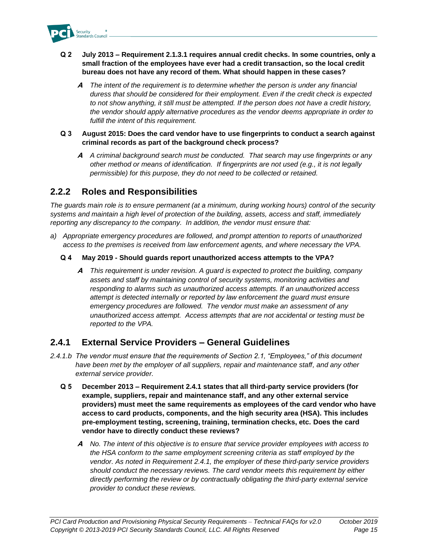

- **Q 2 July 2013 – Requirement 2.1.3.1 requires annual credit checks. In some countries, only a small fraction of the employees have ever had a credit transaction, so the local credit bureau does not have any record of them. What should happen in these cases?**
	- **A** *The intent of the requirement is to determine whether the person is under any financial duress that should be considered for their employment. Even if the credit check is expected to not show anything, it still must be attempted. If the person does not have a credit history, the vendor should apply alternative procedures as the vendor deems appropriate in order to fulfill the intent of this requirement.*
- **Q 3 August 2015: Does the card vendor have to use fingerprints to conduct a search against criminal records as part of the background check process?**
	- **A** *A criminal background search must be conducted. That search may use fingerprints or any other method or means of identification. If fingerprints are not used (e.g., it is not legally permissible) for this purpose, they do not need to be collected or retained.*

### **2.2.2 Roles and Responsibilities**

*The guards main role is to ensure permanent (at a minimum, during working hours) control of the security systems and maintain a high level of protection of the building, assets, access and staff, immediately reporting any discrepancy to the company. In addition, the vendor must ensure that:*

- *a) Appropriate emergency procedures are followed, and prompt attention to reports of unauthorized access to the premises is received from law enforcement agents, and where necessary the VPA.*
	- **Q 4 May 2019 - Should guards report unauthorized access attempts to the VPA?**
		- **A** *This requirement is under revision. A guard is expected to protect the building, company assets and staff by maintaining control of security systems, monitoring activities and responding to alarms such as unauthorized access attempts. If an unauthorized access attempt is detected internally or reported by law enforcement the guard must ensure emergency procedures are followed. The vendor must make an assessment of any unauthorized access attempt. Access attempts that are not accidental or testing must be reported to the VPA.*

### **2.4.1 External Service Providers – General Guidelines**

- *2.4.1.b The vendor must ensure that the requirements of Section 2.1, "Employees," of this document have been met by the employer of all suppliers, repair and maintenance staff, and any other external service provider.*
	- **Q 5 December 2013 – Requirement 2.4.1 states that all third-party service providers (for example, suppliers, repair and maintenance staff, and any other external service providers) must meet the same requirements as employees of the card vendor who have access to card products, components, and the high security area (HSA). This includes pre-employment testing, screening, training, termination checks, etc. Does the card vendor have to directly conduct these reviews?**
		- **A** *No. The intent of this objective is to ensure that service provider employees with access to the HSA conform to the same employment screening criteria as staff employed by the vendor. As noted in Requirement 2.4.1, the employer of these third-party service providers should conduct the necessary reviews. The card vendor meets this requirement by either directly performing the review or by contractually obligating the third-party external service provider to conduct these reviews.*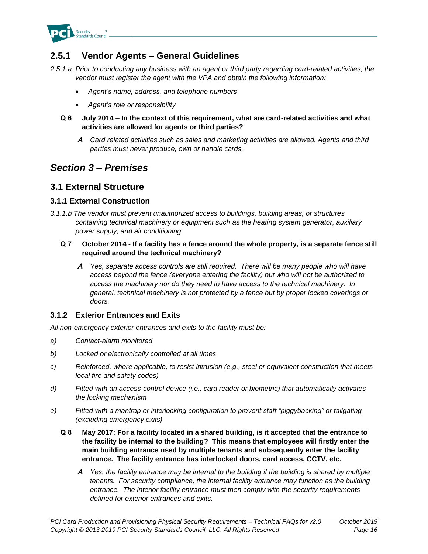

# **2.5.1 Vendor Agents – General Guidelines**

*2.5.1.a Prior to conducting any business with an agent or third party regarding card-related activities, the vendor must register the agent with the VPA and obtain the following information:*

- *Agent's name, address, and telephone numbers*
- *Agent's role or responsibility*
- **Q 6 July 2014 – In the context of this requirement, what are card-related activities and what activities are allowed for agents or third parties?**
	- **A** *Card related activities such as sales and marketing activities are allowed. Agents and third parties must never produce, own or handle cards.*

# *Section 3 – Premises*

### **3.1 External Structure**

#### **3.1.1 External Construction**

*3.1.1.b The vendor must prevent unauthorized access to buildings, building areas, or structures containing technical machinery or equipment such as the heating system generator, auxiliary power supply, and air conditioning.*

#### **Q 7 October 2014 - If a facility has a fence around the whole property, is a separate fence still required around the technical machinery?**

**A** *Yes, separate access controls are still required. There will be many people who will have access beyond the fence (everyone entering the facility) but who will not be authorized to access the machinery nor do they need to have access to the technical machinery. In general, technical machinery is not protected by a fence but by proper locked coverings or doors.*

#### **3.1.2 Exterior Entrances and Exits**

*All non-emergency exterior entrances and exits to the facility must be:*

- *a) Contact-alarm monitored*
- *b) Locked or electronically controlled at all times*
- *c) Reinforced, where applicable, to resist intrusion (e.g., steel or equivalent construction that meets local fire and safety codes)*
- *d) Fitted with an access-control device (i.e., card reader or biometric) that automatically activates the locking mechanism*
- *e) Fitted with a mantrap or interlocking configuration to prevent staff "piggybacking" or tailgating (excluding emergency exits)*
	- **Q 8 May 2017: For a facility located in a shared building, is it accepted that the entrance to the facility be internal to the building? This means that employees will firstly enter the main building entrance used by multiple tenants and subsequently enter the facility entrance. The facility entrance has interlocked doors, card access, CCTV, etc.**
		- **A** *Yes, the facility entrance may be internal to the building if the building is shared by multiple tenants. For security compliance, the internal facility entrance may function as the building entrance. The interior facility entrance must then comply with the security requirements defined for exterior entrances and exits.*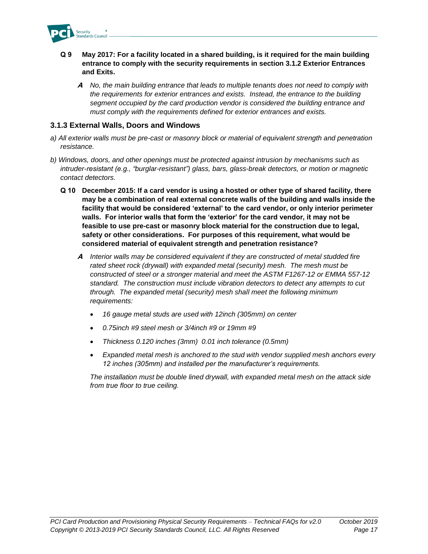

- **Q 9 May 2017: For a facility located in a shared building, is it required for the main building entrance to comply with the security requirements in section 3.1.2 Exterior Entrances and Exits.**
	- **A** *No, the main building entrance that leads to multiple tenants does not need to comply with the requirements for exterior entrances and exists. Instead, the entrance to the building segment occupied by the card production vendor is considered the building entrance and must comply with the requirements defined for exterior entrances and exists.*

#### **3.1.3 External Walls, Doors and Windows**

- *a) All exterior walls must be pre-cast or masonry block or material of equivalent strength and penetration resistance.*
- *b) Windows, doors, and other openings must be protected against intrusion by mechanisms such as intruder-resistant (e.g., "burglar-resistant") glass, bars, glass-break detectors, or motion or magnetic contact detectors.*
	- **Q 10 December 2015: If a card vendor is using a hosted or other type of shared facility, there may be a combination of real external concrete walls of the building and walls inside the facility that would be considered 'external' to the card vendor, or only interior perimeter walls. For interior walls that form the 'exterior' for the card vendor, it may not be feasible to use pre-cast or masonry block material for the construction due to legal, safety or other considerations. For purposes of this requirement, what would be considered material of equivalent strength and penetration resistance?**
		- **A** *Interior walls may be considered equivalent if they are constructed of metal studded fire rated sheet rock (drywall) with expanded metal (security) mesh. The mesh must be constructed of steel or a stronger material and meet the ASTM F1267-12 or EMMA 557-12 standard. The construction must include vibration detectors to detect any attempts to cut through. The expanded metal (security) mesh shall meet the following minimum requirements:*
			- *16 gauge metal studs are used with 12inch (305mm) on center*
			- *0.75inch #9 steel mesh or 3/4inch #9 or 19mm #9*
			- *Thickness 0.120 inches (3mm) 0.01 inch tolerance (0.5mm)*
			- *Expanded metal mesh is anchored to the stud with vendor supplied mesh anchors every 12 inches (305mm) and installed per the manufacturer's requirements.*

*The installation must be double lined drywall, with expanded metal mesh on the attack side from true floor to true ceiling.*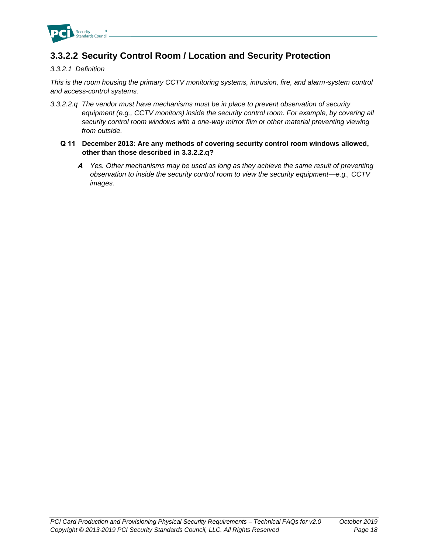

# **3.3.2.2 Security Control Room / Location and Security Protection**

#### *3.3.2.1 Definition*

*This is the room housing the primary CCTV monitoring systems, intrusion, fire, and alarm-system control and access-control systems.*

- *3.3.2.2.q The vendor must have mechanisms must be in place to prevent observation of security equipment (e.g., CCTV monitors) inside the security control room. For example, by covering all security control room windows with a one-way mirror film or other material preventing viewing from outside.*
	- **Q 11 December 2013: Are any methods of covering security control room windows allowed, other than those described in 3.3.2.2.q?**
		- **A** *Yes. Other mechanisms may be used as long as they achieve the same result of preventing observation to inside the security control room to view the security equipment—e.g., CCTV images.*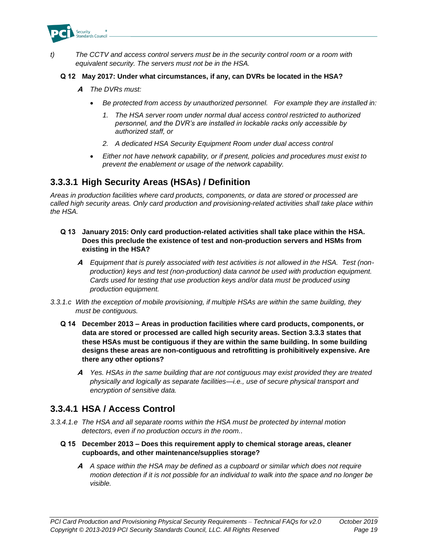

*t) The CCTV and access control servers must be in the security control room or a room with equivalent security. The servers must not be in the HSA.*

#### **Q 12 May 2017: Under what circumstances, if any, can DVRs be located in the HSA?**

- **A** *The DVRs must:*
	- *Be protected from access by unauthorized personnel. For example they are installed in:*
		- *1. The HSA server room under normal dual access control restricted to authorized personnel, and the DVR's are installed in lockable racks only accessible by authorized staff, or*
		- *2. A dedicated HSA Security Equipment Room under dual access control*
	- *Either not have network capability, or if present, policies and procedures must exist to prevent the enablement or usage of the network capability.*

### **3.3.3.1 High Security Areas (HSAs) / Definition**

*Areas in production facilities where card products, components, or data are stored or processed are called high security areas. Only card production and provisioning-related activities shall take place within the HSA.*

- **Q 13 January 2015: Only card production-related activities shall take place within the HSA. Does this preclude the existence of test and non-production servers and HSMs from existing in the HSA?**
	- **A** *Equipment that is purely associated with test activities is not allowed in the HSA. Test (nonproduction) keys and test (non-production) data cannot be used with production equipment. Cards used for testing that use production keys and/or data must be produced using production equipment.*
- *3.3.1.c With the exception of mobile provisioning, if multiple HSAs are within the same building, they must be contiguous.*
	- **Q 14 December 2013 – Areas in production facilities where card products, components, or data are stored or processed are called high security areas. Section 3.3.3 states that these HSAs must be contiguous if they are within the same building. In some building designs these areas are non-contiguous and retrofitting is prohibitively expensive. Are there any other options?**
		- **A** *Yes. HSAs in the same building that are not contiguous may exist provided they are treated physically and logically as separate facilities—i.e., use of secure physical transport and encryption of sensitive data.*

# **3.3.4.1 HSA / Access Control**

- *3.3.4.1.e The HSA and all separate rooms within the HSA must be protected by internal motion detectors, even if no production occurs in the room..*
	- **Q 15 December 2013 – Does this requirement apply to chemical storage areas, cleaner cupboards, and other maintenance/supplies storage?**
		- **A** *A space within the HSA may be defined as a cupboard or similar which does not require motion detection if it is not possible for an individual to walk into the space and no longer be visible.*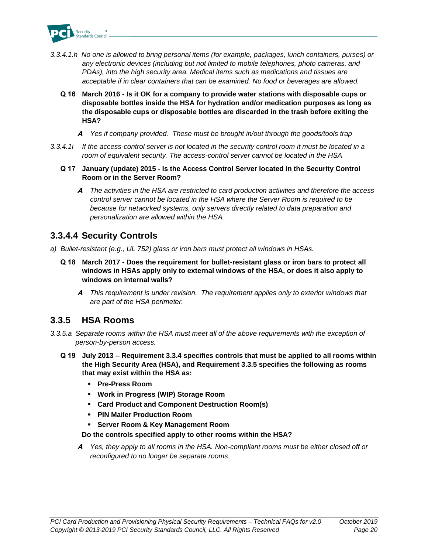

- *3.3.4.1.h No one is allowed to bring personal items (for example, packages, lunch containers, purses) or any electronic devices (including but not limited to mobile telephones, photo cameras, and PDAs), into the high security area. Medical items such as medications and tissues are acceptable if in clear containers that can be examined. No food or beverages are allowed.*
	- **Q 16 March 2016 - Is it OK for a company to provide water stations with disposable cups or disposable bottles inside the HSA for hydration and/or medication purposes as long as the disposable cups or disposable bottles are discarded in the trash before exiting the HSA?**
		- **A** *Yes if company provided. These must be brought in/out through the goods/tools trap*
- *3.3.4.1i If the access-control server is not located in the security control room it must be located in a room of equivalent security. The access-control server cannot be located in the HSA*
	- **Q 17 January (update) 2015 - Is the Access Control Server located in the Security Control Room or in the Server Room?**
		- **A** *The activities in the HSA are restricted to card production activities and therefore the access control server cannot be located in the HSA where the Server Room is required to be because for networked systems, only servers directly related to data preparation and personalization are allowed within the HSA.*

# **3.3.4.4 Security Controls**

- *a) Bullet-resistant (e.g., UL 752) glass or iron bars must protect all windows in HSAs.*
	- **Q 18 March 2017 - Does the requirement for bullet-resistant glass or iron bars to protect all windows in HSAs apply only to external windows of the HSA, or does it also apply to windows on internal walls?**
		- **A** *This requirement is under revision. The requirement applies only to exterior windows that are part of the HSA perimeter.*

# **3.3.5 HSA Rooms**

- *3.3.5.a Separate rooms within the HSA must meet all of the above requirements with the exception of person-by-person access.*
	- **Q 19 July 2013 – Requirement 3.3.4 specifies controls that must be applied to all rooms within the High Security Area (HSA), and Requirement 3.3.5 specifies the following as rooms that may exist within the HSA as:**
		- **Pre-Press Room**
		- **Work in Progress (WIP) Storage Room**
		- **Card Product and Component Destruction Room(s)**
		- **PIN Mailer Production Room**
		- **Server Room & Key Management Room**

#### **Do the controls specified apply to other rooms within the HSA?**

**A** *Yes, they apply to all rooms in the HSA. Non-compliant rooms must be either closed off or reconfigured to no longer be separate rooms.*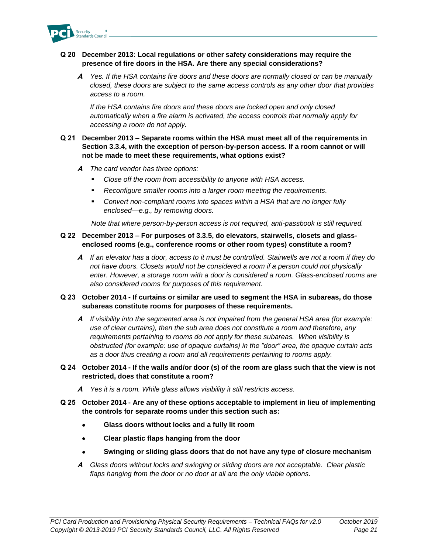

#### **Q 20 December 2013: Local regulations or other safety considerations may require the presence of fire doors in the HSA. Are there any special considerations?**

**A** *Yes. If the HSA contains fire doors and these doors are normally closed or can be manually closed, these doors are subject to the same access controls as any other door that provides access to a room.*

*If the HSA contains fire doors and these doors are locked open and only closed automatically when a fire alarm is activated, the access controls that normally apply for accessing a room do not apply.*

#### **Q 21 December 2013 – Separate rooms within the HSA must meet all of the requirements in Section 3.3.4, with the exception of person-by-person access. If a room cannot or will not be made to meet these requirements, what options exist?**

- **A** *The card vendor has three options:*
	- Close off the room from accessibility to anyone with HSA access.
	- *Reconfigure smaller rooms into a larger room meeting the requirements.*
	- *Convert non-compliant rooms into spaces within a HSA that are no longer fully enclosed—e.g., by removing doors.*

*Note that where person-by-person access is not required, anti-passbook is still required.*

#### **Q 22 December 2013 – For purposes of 3.3.5, do elevators, stairwells, closets and glassenclosed rooms (e.g., conference rooms or other room types) constitute a room?**

**A** *If an elevator has a door, access to it must be controlled. Stairwells are not a room if they do not have doors. Closets would not be considered a room if a person could not physically enter. However, a storage room with a door is considered a room. Glass-enclosed rooms are also considered rooms for purposes of this requirement.*

#### **Q 23 October 2014 - If curtains or similar are used to segment the HSA in subareas, do those subareas constitute rooms for purposes of these requirements.**

- **A** *If visibility into the segmented area is not impaired from the general HSA area (for example: use of clear curtains), then the sub area does not constitute a room and therefore, any requirements pertaining to rooms do not apply for these subareas. When visibility is obstructed (for example: use of opaque curtains) in the "door" area, the opaque curtain acts as a door thus creating a room and all requirements pertaining to rooms apply.*
- **Q 24 October 2014 - If the walls and/or door (s) of the room are glass such that the view is not restricted, does that constitute a room?**
	- **A** *Yes it is a room. While glass allows visibility it still restricts access.*
- **Q 25 October 2014 - Are any of these options acceptable to implement in lieu of implementing the controls for separate rooms under this section such as:**
	- **Glass doors without locks and a fully lit room**
	- **Clear plastic flaps hanging from the door**
	- **Swinging or sliding glass doors that do not have any type of closure mechanism**
	- **A** *Glass doors without locks and swinging or sliding doors are not acceptable. Clear plastic flaps hanging from the door or no door at all are the only viable options.*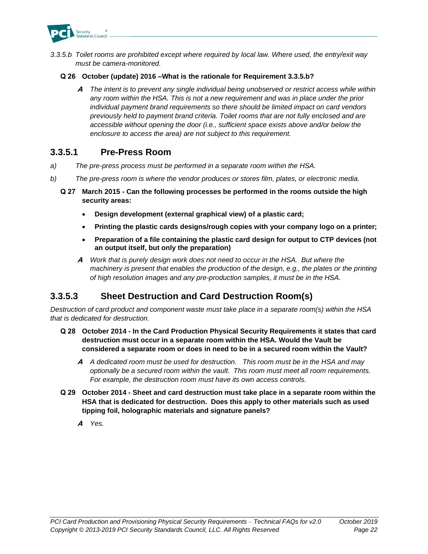

*3.3.5.b Toilet rooms are prohibited except where required by local law. Where used, the entry/exit way must be camera-monitored.*

#### **Q 26 October (update) 2016 –What is the rationale for Requirement 3.3.5.b?**

**A** *The intent is to prevent any single individual being unobserved or restrict access while within any room within the HSA. This is not a new requirement and was in place under the prior individual payment brand requirements so there should be limited impact on card vendors previously held to payment brand criteria. Toilet rooms that are not fully enclosed and are accessible without opening the door (i.e., sufficient space exists above and/or below the enclosure to access the area) are not subject to this requirement.*

#### **3.3.5.1 Pre-Press Room**

- *a) The pre-press process must be performed in a separate room within the HSA.*
- *b) The pre-press room is where the vendor produces or stores film, plates, or electronic media.*
	- **Q 27 March 2015 - Can the following processes be performed in the rooms outside the high security areas:**
		- **Design development (external graphical view) of a plastic card;**
		- **Printing the plastic cards designs/rough copies with your company logo on a printer;**
		- **Preparation of a file containing the plastic card design for output to CTP devices (not an output itself, but only the preparation)**
		- **A** *Work that is purely design work does not need to occur in the HSA. But where the machinery is present that enables the production of the design, e.g., the plates or the printing of high resolution images and any pre-production samples, it must be in the HSA.*

# **3.3.5.3 Sheet Destruction and Card Destruction Room(s)**

*Destruction of card product and component waste must take place in a separate room(s) within the HSA that is dedicated for destruction.*

- **Q 28 October 2014 - In the Card Production Physical Security Requirements it states that card destruction must occur in a separate room within the HSA. Would the Vault be considered a separate room or does in need to be in a secured room within the Vault?** 
	- **A** *A dedicated room must be used for destruction. This room must be in the HSA and may optionally be a secured room within the vault. This room must meet all room requirements. For example, the destruction room must have its own access controls.*
- **Q 29 October 2014 - Sheet and card destruction must take place in a separate room within the HSA that is dedicated for destruction. Does this apply to other materials such as used tipping foil, holographic materials and signature panels?**
	- **A** *Yes.*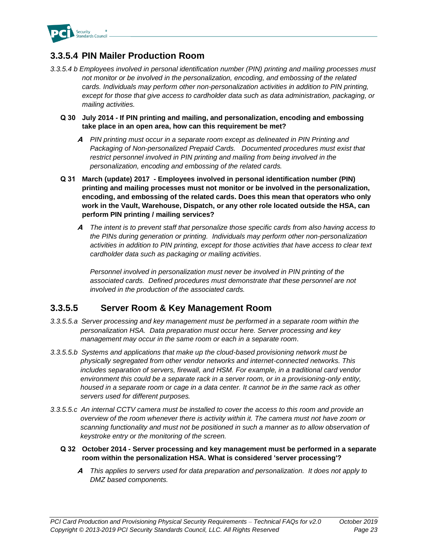

# **3.3.5.4 PIN Mailer Production Room**

- *3.3.5.4 b Employees involved in personal identification number (PIN) printing and mailing processes must not monitor or be involved in the personalization, encoding, and embossing of the related cards. Individuals may perform other non-personalization activities in addition to PIN printing, except for those that give access to cardholder data such as data administration, packaging, or mailing activities.*
	- **Q 30 July 2014 - If PIN printing and mailing, and personalization, encoding and embossing take place in an open area, how can this requirement be met?** 
		- **A** *PIN printing must occur in a separate room except as delineated in PIN Printing and Packaging of Non-personalized Prepaid Cards. Documented procedures must exist that restrict personnel involved in PIN printing and mailing from being involved in the personalization, encoding and embossing of the related cards.*
	- **Q 31 March (update) 2017 - Employees involved in personal identification number (PIN) printing and mailing processes must not monitor or be involved in the personalization, encoding, and embossing of the related cards. Does this mean that operators who only work in the Vault, Warehouse, Dispatch, or any other role located outside the HSA, can perform PIN printing / mailing services?** 
		- **A** *The intent is to prevent staff that personalize those specific cards from also having access to the PINs during generation or printing. Individuals may perform other non-personalization activities in addition to PIN printing, except for those activities that have access to clear text cardholder data such as packaging or mailing activities.*

*Personnel involved in personalization must never be involved in PIN printing of the associated cards. Defined procedures must demonstrate that these personnel are not involved in the production of the associated cards.*

# **3.3.5.5 Server Room & Key Management Room**

- *3.3.5.5.a Server processing and key management must be performed in a separate room within the personalization HSA. Data preparation must occur here. Server processing and key management may occur in the same room or each in a separate room.*
- *3.3.5.5.b Systems and applications that make up the cloud-based provisioning network must be physically segregated from other vendor networks and internet-connected networks. This includes separation of servers, firewall, and HSM. For example, in a traditional card vendor environment this could be a separate rack in a server room, or in a provisioning-only entity, housed in a separate room or cage in a data center. It cannot be in the same rack as other servers used for different purposes.*
- *3.3.5.5.c An internal CCTV camera must be installed to cover the access to this room and provide an overview of the room whenever there is activity within it. The camera must not have zoom or*  scanning functionality and must not be positioned in such a manner as to allow observation of *keystroke entry or the monitoring of the screen.*
	- **Q 32 October 2014 - Server processing and key management must be performed in a separate room within the personalization HSA. What is considered 'server processing'?** 
		- **A** *This applies to servers used for data preparation and personalization. It does not apply to DMZ based components.*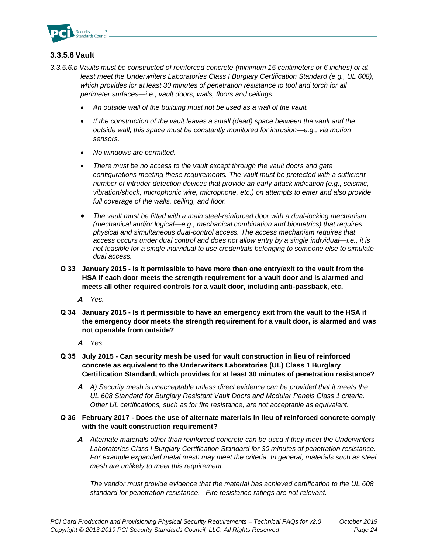

#### **3.3.5.6 Vault**

- *3.3.5.6.b Vaults must be constructed of reinforced concrete (minimum 15 centimeters or 6 inches) or at least meet the Underwriters Laboratories Class I Burglary Certification Standard (e.g., UL 608),*  which provides for at least 30 minutes of penetration resistance to tool and torch for all *perimeter surfaces—i.e., vault doors, walls, floors and ceilings.* 
	- *An outside wall of the building must not be used as a wall of the vault.*
	- *If the construction of the vault leaves a small (dead) space between the vault and the outside wall, this space must be constantly monitored for intrusion—e.g., via motion sensors.*
	- *No windows are permitted.*
	- *There must be no access to the vault except through the vault doors and gate configurations meeting these requirements. The vault must be protected with a sufficient number of intruder-detection devices that provide an early attack indication (e.g., seismic, vibration/shock, microphonic wire, microphone, etc.) on attempts to enter and also provide full coverage of the walls, ceiling, and floor.*
	- *The vault must be fitted with a main steel-reinforced door with a dual-locking mechanism (mechanical and/or logical—e.g., mechanical combination and biometrics) that requires physical and simultaneous dual-control access. The access mechanism requires that access occurs under dual control and does not allow entry by a single individual—i.e., it is not feasible for a single individual to use credentials belonging to someone else to simulate dual access.*
	- **Q 33 January 2015 - Is it permissible to have more than one entry/exit to the vault from the HSA if each door meets the strength requirement for a vault door and is alarmed and meets all other required controls for a vault door, including anti-passback, etc.**
		- **A** *Yes.*
	- **Q 34 January 2015 - Is it permissible to have an emergency exit from the vault to the HSA if the emergency door meets the strength requirement for a vault door, is alarmed and was not openable from outside?**

**A** *Yes.*

- **Q 35 July 2015 - Can security mesh be used for vault construction in lieu of reinforced concrete as equivalent to the Underwriters Laboratories (UL) Class 1 Burglary Certification Standard, which provides for at least 30 minutes of penetration resistance?**
	- **A** *A) Security mesh is unacceptable unless direct evidence can be provided that it meets the UL 608 Standard for Burglary Resistant Vault Doors and Modular Panels Class 1 criteria. Other UL certifications, such as for fire resistance, are not acceptable as equivalent.*
- **Q 36 February 2017 - Does the use of alternate materials in lieu of reinforced concrete comply with the vault construction requirement?**
	- **A** *Alternate materials other than reinforced concrete can be used if they meet the Underwriters Laboratories Class I Burglary Certification Standard for 30 minutes of penetration resistance. For example expanded metal mesh may meet the criteria. In general, materials such as steel mesh are unlikely to meet this requirement.*

*The vendor must provide evidence that the material has achieved certification to the UL 608 standard for penetration resistance. Fire resistance ratings are not relevant.*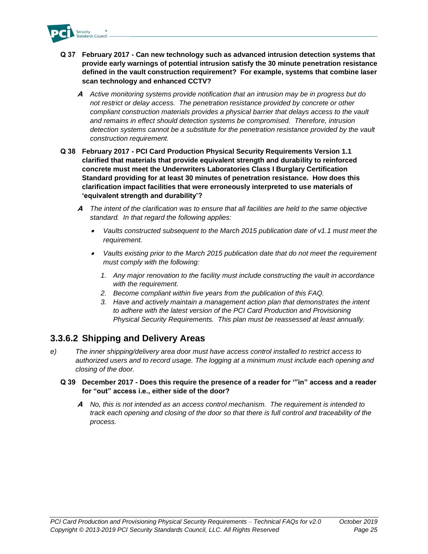

- **Q 37 February 2017 - Can new technology such as advanced intrusion detection systems that provide early warnings of potential intrusion satisfy the 30 minute penetration resistance defined in the vault construction requirement? For example, systems that combine laser scan technology and enhanced CCTV?**
	- **A** *Active monitoring systems provide notification that an intrusion may be in progress but do not restrict or delay access. The penetration resistance provided by concrete or other compliant construction materials provides a physical barrier that delays access to the vault and remains in effect should detection systems be compromised. Therefore, intrusion detection systems cannot be a substitute for the penetration resistance provided by the vault construction requirement.*
- **Q 38 February 2017 - PCI Card Production Physical Security Requirements Version 1.1 clarified that materials that provide equivalent strength and durability to reinforced concrete must meet the Underwriters Laboratories Class I Burglary Certification Standard providing for at least 30 minutes of penetration resistance. How does this clarification impact facilities that were erroneously interpreted to use materials of 'equivalent strength and durability'?** 
	- **A** *The intent of the clarification was to ensure that all facilities are held to the same objective standard. In that regard the following applies:*
		- • *Vaults constructed subsequent to the March 2015 publication date of v1.1 must meet the requirement.*
		- *Vaults existing prior to the March 2015 publication date that do not meet the requirement must comply with the following:*
			- *1. Any major renovation to the facility must include constructing the vault in accordance with the requirement.*
			- *2. Become compliant within five years from the publication of this FAQ.*
			- *3. Have and actively maintain a management action plan that demonstrates the intent to adhere with the latest version of the PCI Card Production and Provisioning Physical Security Requirements. This plan must be reassessed at least annually.*

# **3.3.6.2 Shipping and Delivery Areas**

- *e) The inner shipping/delivery area door must have access control installed to restrict access to authorized users and to record usage. The logging at a minimum must include each opening and closing of the door.*
	- **Q 39 December 2017 - Does this require the presence of a reader for '"in" access and a reader for "out" access i.e., either side of the door?**
		- **A** *No, this is not intended as an access control mechanism. The requirement is intended to track each opening and closing of the door so that there is full control and traceability of the process.*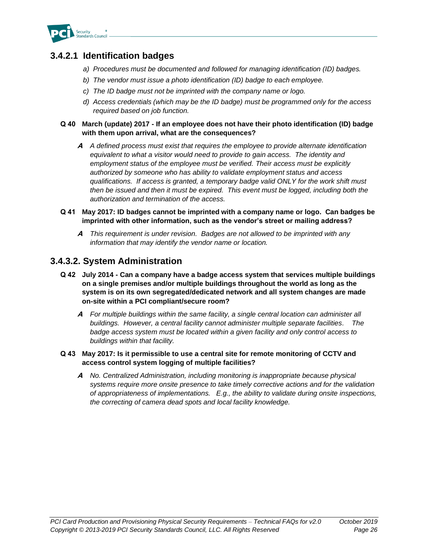

# **3.4.2.1 Identification badges**

- *a) Procedures must be documented and followed for managing identification (ID) badges.*
- *b) The vendor must issue a photo identification (ID) badge to each employee.*
- *c) The ID badge must not be imprinted with the company name or logo.*
- *d) Access credentials (which may be the ID badge) must be programmed only for the access required based on job function.*

#### **Q 40 March (update) 2017 - If an employee does not have their photo identification (ID) badge with them upon arrival, what are the consequences?**

**A** *A defined process must exist that requires the employee to provide alternate identification equivalent to what a visitor would need to provide to gain access. The identity and employment status of the employee must be verified. Their access must be explicitly authorized by someone who has ability to validate employment status and access qualifications. If access is granted, a temporary badge valid ONLY for the work shift must then be issued and then it must be expired. This event must be logged, including both the authorization and termination of the access.*

#### **Q 41 May 2017: ID badges cannot be imprinted with a company name or logo. Can badges be imprinted with other information, such as the vendor's street or mailing address?**

**A** *This requirement is under revision. Badges are not allowed to be imprinted with any information that may identify the vendor name or location.*

### **3.4.3.2. System Administration**

- **Q 42 July 2014 - Can a company have a badge access system that services multiple buildings on a single premises and/or multiple buildings throughout the world as long as the system is on its own segregated/dedicated network and all system changes are made on-site within a PCI compliant/secure room?**
	- **A** *For multiple buildings within the same facility, a single central location can administer all buildings. However, a central facility cannot administer multiple separate facilities. The badge access system must be located within a given facility and only control access to buildings within that facility.*

#### **Q 43 May 2017: Is it permissible to use a central site for remote monitoring of CCTV and access control system logging of multiple facilities?**

**A** *No. Centralized Administration, including monitoring is inappropriate because physical systems require more onsite presence to take timely corrective actions and for the validation of appropriateness of implementations. E.g., the ability to validate during onsite inspections, the correcting of camera dead spots and local facility knowledge.*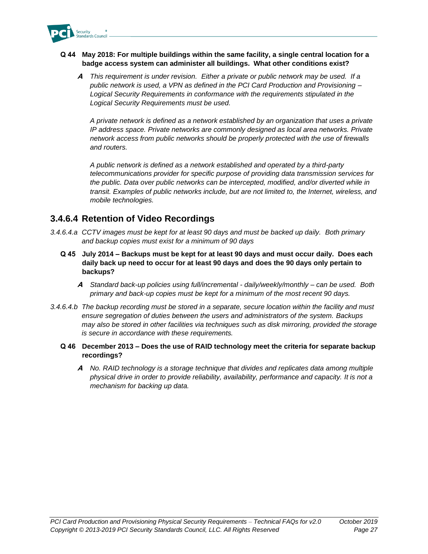

#### **Q 44 May 2018: For multiple buildings within the same facility, a single central location for a badge access system can administer all buildings. What other conditions exist?**

**A** *This requirement is under revision. Either a private or public network may be used. If a public network is used, a VPN as defined in the PCI Card Production and Provisioning – Logical Security Requirements in conformance with the requirements stipulated in the Logical Security Requirements must be used.* 

*A private network is defined as a network established by an organization that uses a private IP address space. Private networks are commonly designed as local area networks. Private network access from public networks should be properly protected with the use of firewalls and routers.* 

*A public network is defined as a network established and operated by a third-party telecommunications provider for specific purpose of providing data transmission services for the public. Data over public networks can be intercepted, modified, and/or diverted while in transit. Examples of public networks include, but are not limited to, the Internet, wireless, and mobile technologies.*

# **3.4.6.4 Retention of Video Recordings**

- *3.4.6.4.a CCTV images must be kept for at least 90 days and must be backed up daily. Both primary and backup copies must exist for a minimum of 90 days*
	- **Q 45 July 2014 – Backups must be kept for at least 90 days and must occur daily. Does each daily back up need to occur for at least 90 days and does the 90 days only pertain to backups?**
		- **A** *Standard back-up policies using full/incremental - daily/weekly/monthly – can be used. Both primary and back-up copies must be kept for a minimum of the most recent 90 days.*
- *3.4.6.4.b The backup recording must be stored in a separate, secure location within the facility and must ensure segregation of duties between the users and administrators of the system. Backups may also be stored in other facilities via techniques such as disk mirroring, provided the storage is secure in accordance with these requirements.*
	- **Q 46 December 2013 – Does the use of RAID technology meet the criteria for separate backup recordings?**
		- **A** *No. RAID technology is a storage technique that divides and replicates data among multiple physical drive in order to provide reliability, availability, performance and capacity. It is not a mechanism for backing up data.*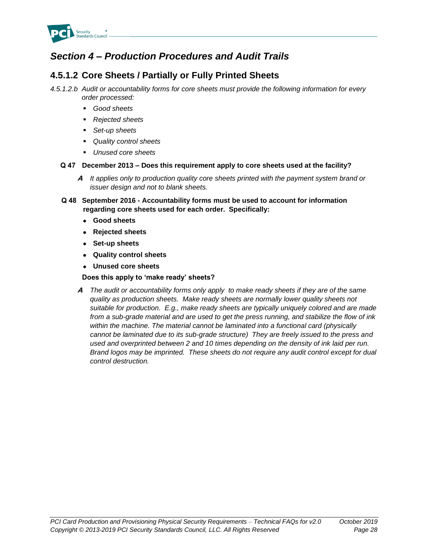

# *Section 4 – Production Procedures and Audit Trails*

# **4.5.1.2 Core Sheets / Partially or Fully Printed Sheets**

*4.5.1.2.b Audit or accountability forms for core sheets must provide the following information for every order processed:*

- *Good sheets*
- *Rejected sheets*
- Set-up sheets
- *Quality control sheets*
- *Unused core sheets*

#### **Q 47 December 2013 – Does this requirement apply to core sheets used at the facility?**

- **A** *It applies only to production quality core sheets printed with the payment system brand or issuer design and not to blank sheets.*
- **Q 48 September 2016 - Accountability forms must be used to account for information regarding core sheets used for each order. Specifically:**
	- **Good sheets**
	- **Rejected sheets**
	- **Set-up sheets**
	- **Quality control sheets**
	- **Unused core sheets**

**Does this apply to 'make ready' sheets?**

**A** *The audit or accountability forms only apply to make ready sheets if they are of the same quality as production sheets. Make ready sheets are normally lower quality sheets not suitable for production. E.g., make ready sheets are typically uniquely colored and are made from a sub-grade material and are used to get the press running, and stabilize the flow of ink within the machine. The material cannot be laminated into a functional card (physically cannot be laminated due to its sub-grade structure) They are freely issued to the press and used and overprinted between 2 and 10 times depending on the density of ink laid per run. Brand logos may be imprinted. These sheets do not require any audit control except for dual control destruction.*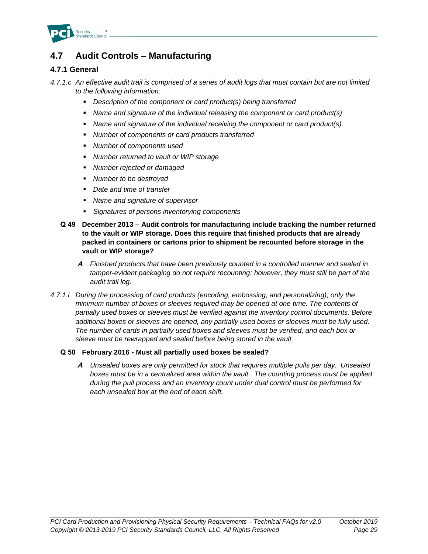

# **4.7 Audit Controls – Manufacturing**

#### **4.7.1 General**

*4.7.1.c An effective audit trail is comprised of a series of audit logs that must contain but are not limited to the following information:*

- *Description of the component or card product(s) being transferred*
- *Name and signature of the individual releasing the component or card product(s)*
- *Name and signature of the individual receiving the component or card product(s)*
- *Number of components or card products transferred*
- *Number of components used*
- *Number returned to vault or WIP storage*
- *Number rejected or damaged*
- *Number to be destroyed*
- *Date and time of transfer*
- *Name and signature of supervisor*
- Signatures of persons inventorying components
- **Q 49 December 2013 – Audit controls for manufacturing include tracking the number returned to the vault or WIP storage. Does this require that finished products that are already packed in containers or cartons prior to shipment be recounted before storage in the vault or WIP storage?**
	- **A** *Finished products that have been previously counted in a controlled manner and sealed in*  tamper-evident packaging do not require recounting; however, they must still be part of the *audit trail log.*
- *4.7.1.i During the processing of card products (encoding, embossing, and personalizing), only the minimum number of boxes or sleeves required may be opened at one time. The contents of partially used boxes or sleeves must be verified against the inventory control documents. Before additional boxes or sleeves are opened, any partially used boxes or sleeves must be fully used. The number of cards in partially used boxes and sleeves must be verified, and each box or sleeve must be rewrapped and sealed before being stored in the vault.*

#### **Q 50 February 2016 - Must all partially used boxes be sealed?**

**A** *Unsealed boxes are only permitted for stock that requires multiple pulls per day. Unsealed boxes must be in a centralized area within the vault. The counting process must be applied during the pull process and an inventory count under dual control must be performed for each unsealed box at the end of each shift.*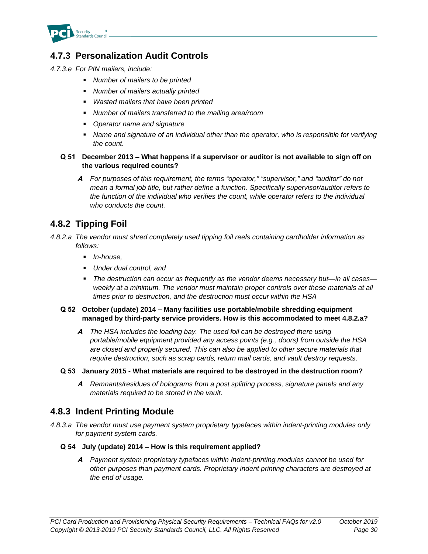

# **4.7.3 Personalization Audit Controls**

- *4.7.3.e For PIN mailers, include:*
	- *Number of mailers to be printed*
	- *Number of mailers actually printed*
	- *Wasted mailers that have been printed*
	- *Number of mailers transferred to the mailing area/room*
	- *Operator name and signature*
	- **EXED** *Name and signature of an individual other than the operator, who is responsible for verifying the count.*

#### **Q 51 December 2013 – What happens if a supervisor or auditor is not available to sign off on the various required counts?**

**A** *For purposes of this requirement, the terms "operator," "supervisor," and "auditor" do not mean a formal job title, but rather define a function. Specifically supervisor/auditor refers to the function of the individual who verifies the count, while operator refers to the individual who conducts the count.*

# **4.8.2 Tipping Foil**

- *4.8.2.a The vendor must shred completely used tipping foil reels containing cardholder information as follows:*
	- *In-house,*
	- *Under dual control, and*
	- *The destruction can occur as frequently as the vendor deems necessary but—in all cases weekly at a minimum. The vendor must maintain proper controls over these materials at all times prior to destruction, and the destruction must occur within the HSA*
	- **Q 52 October (update) 2014 – Many facilities use portable/mobile shredding equipment managed by third-party service providers. How is this accommodated to meet 4.8.2.a?**
		- **A** *The HSA includes the loading bay. The used foil can be destroyed there using portable/mobile equipment provided any access points (e.g., doors) from outside the HSA are closed and properly secured. This can also be applied to other secure materials that require destruction, such as scrap cards, return mail cards, and vault destroy requests.*

#### **Q 53 January 2015 - What materials are required to be destroyed in the destruction room?**

**A** *Remnants/residues of holograms from a post splitting process, signature panels and any materials required to be stored in the vault.*

### **4.8.3 Indent Printing Module**

- *4.8.3.a The vendor must use payment system proprietary typefaces within indent-printing modules only for payment system cards.*
	- **Q 54 July (update) 2014 – How is this requirement applied?**
		- **A** *Payment system proprietary typefaces within Indent-printing modules cannot be used for other purposes than payment cards. Proprietary indent printing characters are destroyed at the end of usage.*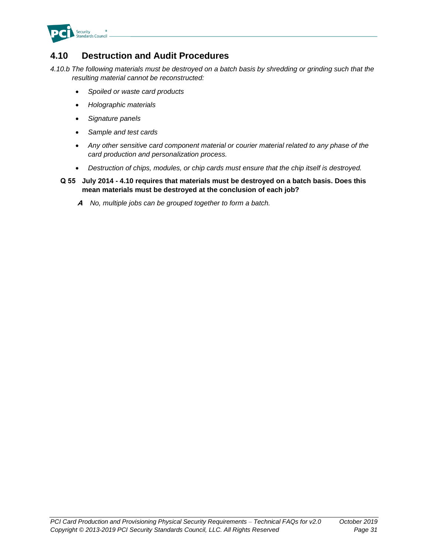

# **4.10 Destruction and Audit Procedures**

*4.10.b The following materials must be destroyed on a batch basis by shredding or grinding such that the resulting material cannot be reconstructed:*

- *Spoiled or waste card products*
- *Holographic materials*
- *Signature panels*
- *Sample and test cards*
- *Any other sensitive card component material or courier material related to any phase of the card production and personalization process.*
- *Destruction of chips, modules, or chip cards must ensure that the chip itself is destroyed.*
- **Q 55 July 2014 - 4.10 requires that materials must be destroyed on a batch basis. Does this mean materials must be destroyed at the conclusion of each job?**
	- **A** *No, multiple jobs can be grouped together to form a batch.*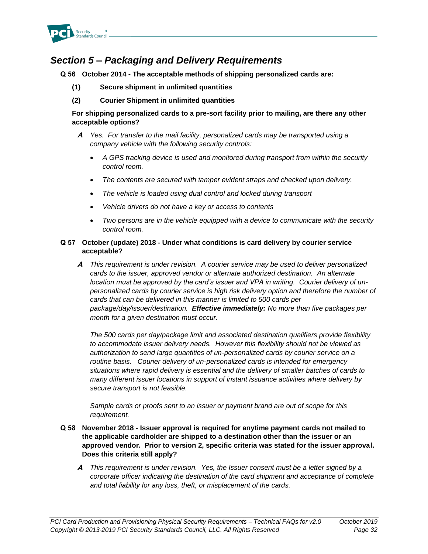

# *Section 5 – Packaging and Delivery Requirements*

**Q 56 October 2014 - The acceptable methods of shipping personalized cards are:**

- **(1) Secure shipment in unlimited quantities**
- **(2) Courier Shipment in unlimited quantities**

**For shipping personalized cards to a pre-sort facility prior to mailing, are there any other acceptable options?**

- **A** *Yes. For transfer to the mail facility, personalized cards may be transported using a company vehicle with the following security controls:*
	- *A GPS tracking device is used and monitored during transport from within the security control room.*
	- *The contents are secured with tamper evident straps and checked upon delivery.*
	- *The vehicle is loaded using dual control and locked during transport*
	- *Vehicle drivers do not have a key or access to contents*
	- *Two persons are in the vehicle equipped with a device to communicate with the security control room.*

#### **Q 57 October (update) 2018 - Under what conditions is card delivery by courier service acceptable?**

**A** *This requirement is under revision. A courier service may be used to deliver personalized cards to the issuer, approved vendor or alternate authorized destination. An alternate location must be approved by the card's issuer and VPA in writing. Courier delivery of unpersonalized cards by courier service is high risk delivery option and therefore the number of cards that can be delivered in this manner is limited to 500 cards per package/day/issuer/destination. Effective immediately: No more than five packages per month for a given destination must occur.*

*The 500 cards per day/package limit and associated destination qualifiers provide flexibility to accommodate issuer delivery needs. However this flexibility should not be viewed as authorization to send large quantities of un-personalized cards by courier service on a routine basis. Courier delivery of un-personalized cards is intended for emergency situations where rapid delivery is essential and the delivery of smaller batches of cards to many different issuer locations in support of instant issuance activities where delivery by secure transport is not feasible.* 

*Sample cards or proofs sent to an issuer or payment brand are out of scope for this requirement.*

- **Q 58 November 2018 - Issuer approval is required for anytime payment cards not mailed to the applicable cardholder are shipped to a destination other than the issuer or an approved vendor. Prior to version 2, specific criteria was stated for the issuer approval. Does this criteria still apply?**
	- **A** *This requirement is under revision. Yes, the Issuer consent must be a letter signed by a corporate officer indicating the destination of the card shipment and acceptance of complete and total liability for any loss, theft, or misplacement of the cards.*